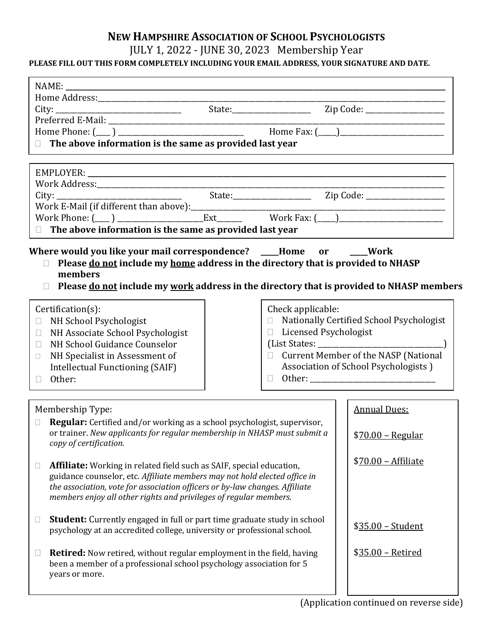## **NEW HAMPSHIRE ASSOCIATION OF SCHOOL PSYCHOLOGISTS**

## JULY 1, 2022 - JUNE 30, 2023 Membership Year

## **PLEASE FILL OUT THIS FORM COMPLETELY INCLUDING YOUR EMAIL ADDRESS, YOUR SIGNATURE AND DATE.**

| City: <u>City: State:</u> Zip Code: <u>City: State: Zip Code: City: City: City: City: City: City: City: City: City: City: City: City: City: City: City: City: City: City: City: City: City: City: City: City: City: City: City: City:</u><br>$\Box$ The above information is the same as provided last year |                         |                                            |  |
|-------------------------------------------------------------------------------------------------------------------------------------------------------------------------------------------------------------------------------------------------------------------------------------------------------------|-------------------------|--------------------------------------------|--|
|                                                                                                                                                                                                                                                                                                             |                         |                                            |  |
|                                                                                                                                                                                                                                                                                                             |                         |                                            |  |
|                                                                                                                                                                                                                                                                                                             |                         |                                            |  |
|                                                                                                                                                                                                                                                                                                             |                         |                                            |  |
|                                                                                                                                                                                                                                                                                                             |                         |                                            |  |
|                                                                                                                                                                                                                                                                                                             |                         |                                            |  |
| $\Box$ The above information is the same as provided last year                                                                                                                                                                                                                                              |                         |                                            |  |
| Where would you like your mail correspondence? ____Home or ____Work<br>Please do not include my home address in the directory that is provided to NHASP<br>members<br>Please do not include my work address in the directory that is provided to NHASP members<br>П                                         |                         |                                            |  |
| Certification(s):                                                                                                                                                                                                                                                                                           | Check applicable:       |                                            |  |
| NH School Psychologist<br>$\Box$                                                                                                                                                                                                                                                                            |                         | □ Nationally Certified School Psychologist |  |
| NH Associate School Psychologist<br>$\Box$                                                                                                                                                                                                                                                                  | □ Licensed Psychologist |                                            |  |
| NH School Guidance Counselor<br>$\Box$                                                                                                                                                                                                                                                                      |                         |                                            |  |
| NH Specialist in Assessment of<br>$\Box$                                                                                                                                                                                                                                                                    |                         | □ Current Member of the NASP (National     |  |
| Intellectual Functioning (SAIF)                                                                                                                                                                                                                                                                             |                         | Association of School Psychologists )      |  |
| Other:<br>$\Box$                                                                                                                                                                                                                                                                                            |                         |                                            |  |
| Membership Type:                                                                                                                                                                                                                                                                                            |                         | <b>Annual Dues:</b>                        |  |
|                                                                                                                                                                                                                                                                                                             |                         |                                            |  |
| <b>Regular:</b> Certified and/or working as a school psychologist, supervisor,<br>П.<br>or trainer. New applicants for regular membership in NHASP must submit a                                                                                                                                            |                         | $$70.00 - Regular$                         |  |
| copy of certification.                                                                                                                                                                                                                                                                                      |                         |                                            |  |
|                                                                                                                                                                                                                                                                                                             |                         | \$70.00 - Affiliate                        |  |
| <b>Affiliate:</b> Working in related field such as SAIF, special education,                                                                                                                                                                                                                                 |                         |                                            |  |
| guidance counselor, etc. Affiliate members may not hold elected office in<br>the association, vote for association officers or by-law changes. Affiliate                                                                                                                                                    |                         |                                            |  |
| members enjoy all other rights and privileges of regular members.                                                                                                                                                                                                                                           |                         |                                            |  |
|                                                                                                                                                                                                                                                                                                             |                         |                                            |  |
| <b>Student:</b> Currently engaged in full or part time graduate study in school<br>$\Box$                                                                                                                                                                                                                   |                         |                                            |  |
| psychology at an accredited college, university or professional school.                                                                                                                                                                                                                                     |                         | \$35.00 - Student                          |  |
|                                                                                                                                                                                                                                                                                                             |                         |                                            |  |
| <b>Retired:</b> Now retired, without regular employment in the field, having                                                                                                                                                                                                                                |                         | \$35.00 - Retired                          |  |
| been a member of a professional school psychology association for 5<br>years or more.                                                                                                                                                                                                                       |                         |                                            |  |
|                                                                                                                                                                                                                                                                                                             |                         |                                            |  |
|                                                                                                                                                                                                                                                                                                             |                         |                                            |  |